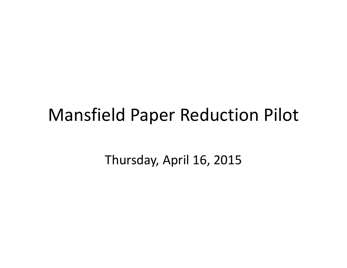### Mansfield Paper Reduction Pilot

Thursday, April 16, 2015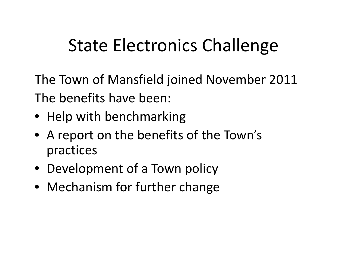### State Electronics Challenge

The Town of Mansfield joined November 2011 The benefits have been:

- Help with benchmarking
- A report on the benefits of the Town's practices
- Development of <sup>a</sup> Town policy
- Mechanism for further change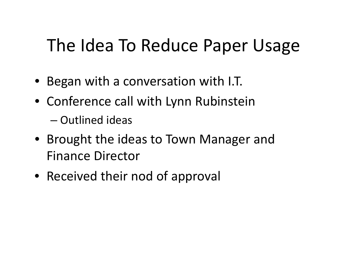### The Idea To Reduce Paper Usage

- Began with <sup>a</sup> conversation with I.T.
- Conference call with Lynn Rubinstein
	- Outlined ideas
- Brought the ideas to Town Manager and Finance Director
- Received their nod of approval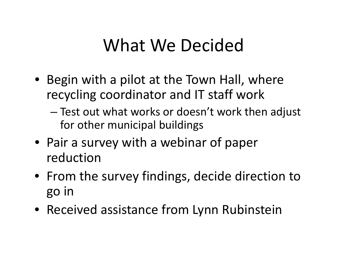### What We Decided

- Begin with <sup>a</sup> pilot at the Town Hall, where recycling coordinator and IT staff work
	- Test out what works or doesn't work then adjust for other municipal buildings
- Pair a survey with <sup>a</sup> webinar of paper reduction
- From the survey findings, decide direction to go in
- Received assistance from Lynn Rubinstein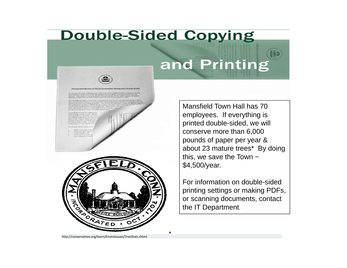# **Double-Sided Copying** and Printing

\*

Mansfield Town Hall has 70 employees. If everything is printed double-sided, we will conserve more than 6,000 pounds of paper per year & about 23 mature trees\* By doing this, we save the Town  $\sim$ \$4,500/year.

For information on double-sided printing settings or making PDFs, or scanning documents, contact the IT Department.

http://conservatree.org/learn/EnviroIssues/TreeStats.shtml

ATE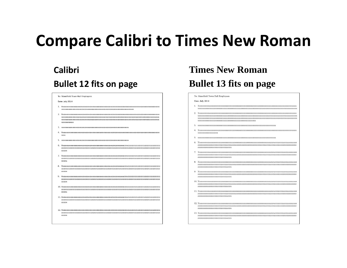### **Compare Calibri to Times New Roman**

### **CalibriBullet 12 fits on page**

|    | To: Mansfield Town Hall Employees |
|----|-----------------------------------|
|    | Date: July 2014                   |
|    |                                   |
|    | XXXXXXXXXXXX                      |
| 3. |                                   |
|    | <b>XXXX</b>                       |
| 5. |                                   |
|    | ZZZZZX                            |
|    | ZZZZZX                            |
|    | ZZZZZX                            |
|    | <b>ZZZZZX</b>                     |
|    | <b>ZZZZZX</b>                     |
|    | zzzzzx                            |
|    | ZZZZZX                            |
|    |                                   |

### **Times New RomanBullet 13 fits on page**

#### To: Mansfield Town Hall Employees

#### Date: July 2014

- 
- 
- $\mathbf{3}$
- **XXXXXXXXXXXXXXXX**
- 
- 7777777777777777777777777777777777
- ,,,,,,,,,,,,,,,,,,,,,,,,,,,,,,,,,,
- ,,,,,,,,,,,,,,,,,,,,,,,,,,,,,,,,,,
- 7777777777777777777777777777777777
- 
- 
- ZZZZZZZZZZZZZZZZZZZZZZZZZZZZZZZZZZZZ
-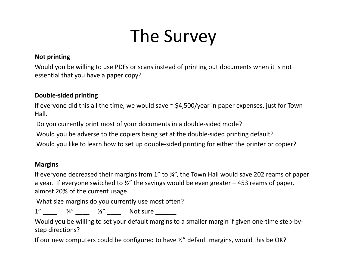# The Survey

#### **Not printing**

Would you be willing to use PDFs or scans instead of printing out documents when it is not essential that you have <sup>a</sup> paper copy?

#### **Double‐sided printing**

If everyone did this all the time, we would save <sup>~</sup> \$4,500/year in paper expenses, just for Town Hall.

Do you currently print most of your documents in <sup>a</sup> double‐sided mode?

Would you be adverse to the copiers being set at the double‐sided printing default?

Would you like to learn how to set up double‐sided printing for either the printer or copier?

#### **Margins**

If everyone decreased their margins from 1" to ¾", the Town Hall would save 202 reams of paper a year. If everyone switched to  $\frac{1}{2}$ " the savings would be even greater – 453 reams of paper, almost 20% of the current usage.

What size margins do you currently use most often?

1" \_\_\_\_\_ ¾" \_\_\_\_\_ ½" \_\_\_\_\_ Not sure \_\_\_\_\_\_\_

Would you be willing to set your default margins to <sup>a</sup> smaller margin if given one‐time step‐by‐ step directions?

If our new computers could be configured to have ½" default margins, would this be OK?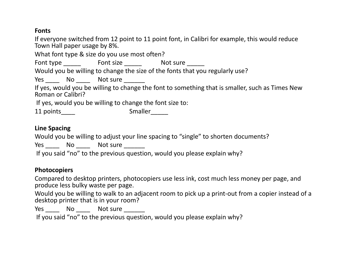#### **Fonts**

If everyone switched from 12 point to 11 point font, in Calibri for example, this would reduce Town Hall paper usage by 8%.

What font type & size do you use most often?

Font type \_\_\_\_\_\_\_ Font size \_\_\_\_\_\_\_ Not sure \_\_\_\_\_\_

Would you be willing to change the size of the fonts that you regularly use?

Yes \_\_\_\_\_\_ No \_\_\_\_\_\_ Not sure \_\_\_\_\_\_\_\_

If yes, would you be willing to change the font to something that is smaller, such as Times New Roman or Calibri?

If yes, would you be willing to change the font size to:

11 points\_\_\_\_\_ smaller\_\_\_\_\_

#### **Line Spacing**

Would you be willing to adjust your line spacing to "single" to shorten documents?

Yes \_\_\_\_\_\_ No \_\_\_\_\_\_ Not sure \_\_\_\_\_\_\_\_

If you said "no" to the previous question, would you please explain why?

#### **Photocopiers**

Compared to desktop printers, photocopiers use less ink, cost much less money per page, and produce less bulky waste per page.

Would you be willing to walk to an adjacent room to pick up <sup>a</sup> print‐out from <sup>a</sup> copier instead of <sup>a</sup> desktop printer that is in your room?

Yes \_\_\_\_\_\_ No \_\_\_\_\_\_ Not sure \_\_\_\_\_\_\_\_

If you said "no" to the previous question, would you please explain why?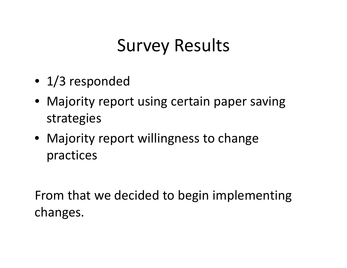### Survey Results

- 1/3 responded
- Majority report using certain paper saving strategies
- Majority report willingness to change practices

From that we decided to begin implementing changes.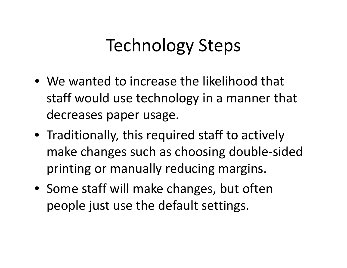### Technology Steps

- We wanted to increase the likelihood that staff would use technology in <sup>a</sup> manner that decreases paper usage.
- Traditionally, this required staff to actively make changes such as choosing double‐sided printing or manually reducing margins.
- Some staff will make changes, but often people just use the default settings.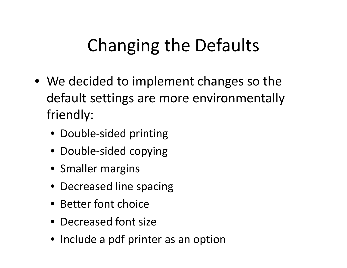# Changing the Defaults

- We decided to implement changes so the default settings are more environmentally friendly:
	- Double‐sided printing
	- Double‐sided copying
	- Smaller margins
	- Decreased line spacing
	- Better font choice
	- Decreased font size
	- Include <sup>a</sup> pdf printer as an option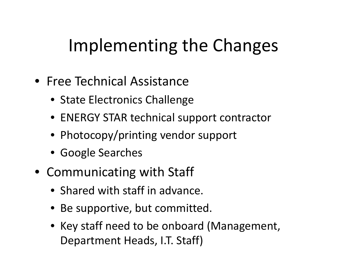### Implementing the Changes

- Free Technical Assistance
	- State Electronics Challenge
	- ENERGY STAR technical support contractor
	- Photocopy/printing vendor support
	- Google Searches
- Communicating with Staff
	- Shared with staff in advance.
	- Be supportive, but committed.
	- Key staff need to be onboard (Management, Department Heads, I.T. Staff)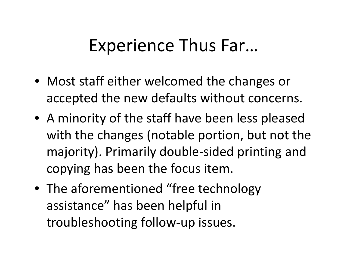### Experience Thus Far…

- Most staff either welcomed the changes or accepted the new defaults without concerns.
- A minority of the staff have been less pleased with the changes (notable portion, but not the majority). Primarily double‐sided printing and copying has been the focus item.
- The aforementioned "free technology assistance" has been helpful in troubleshooting follow‐up issues.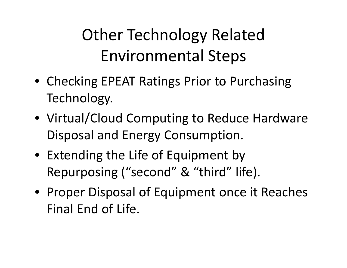### Other Technology Related Environmental Steps

- Checking EPEAT Ratings Prior to Purchasing Technology.
- Virtual/Cloud Computing to Reduce Hardware Disposal and Energy Consumption.
- Extending the Life of Equipment by Repurposing ("second" & "third" life).
- Proper Disposal of Equipment once it Reaches Final End of Life.